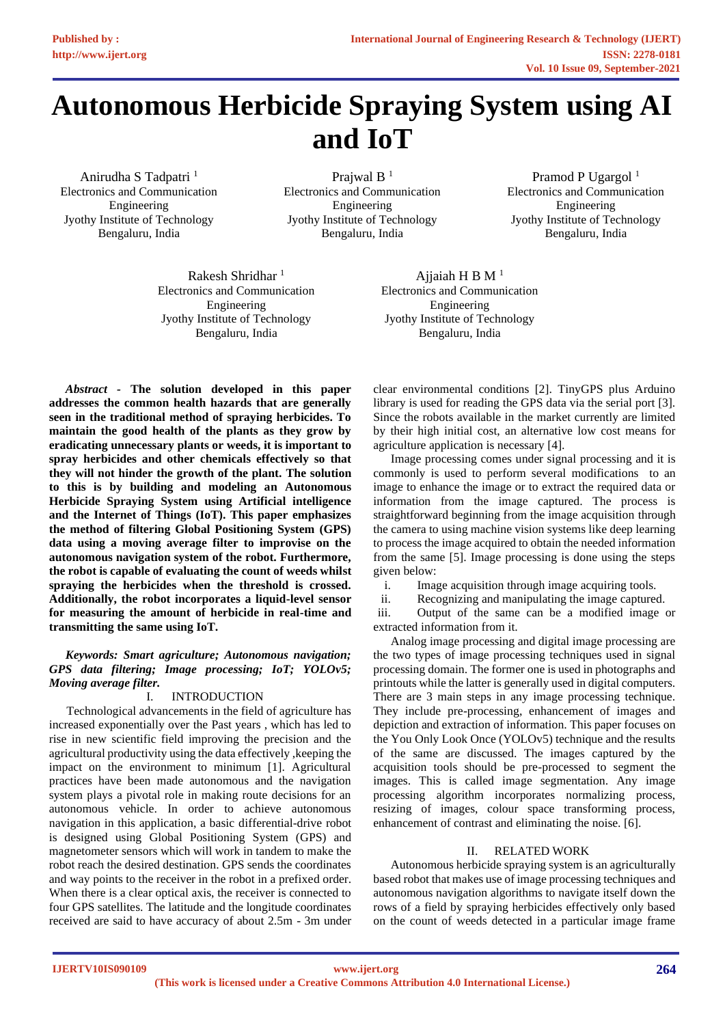# **Autonomous Herbicide Spraying System using AI and IoT**

Anirudha S Tadpatri <sup>1</sup> Electronics and Communication Engineering Jyothy Institute of Technology Bengaluru, India

Prajwal  $B<sup>1</sup>$ Electronics and Communication Engineering Jyothy Institute of Technology Bengaluru, India

Pramod P Ugargol<sup>1</sup> Electronics and Communication Engineering Jyothy Institute of Technology Bengaluru, India

Rakesh Shridhar<sup>1</sup> Electronics and Communication Engineering Jyothy Institute of Technology Bengaluru, India

Ajjaiah H B  $M<sup>1</sup>$ Electronics and Communication Engineering Jyothy Institute of Technology Bengaluru, India

*Abstract -* **The solution developed in this paper addresses the common health hazards that are generally seen in the traditional method of spraying herbicides. To maintain the good health of the plants as they grow by eradicating unnecessary plants or weeds, it is important to spray herbicides and other chemicals effectively so that they will not hinder the growth of the plant. The solution to this is by building and modeling an Autonomous Herbicide Spraying System using Artificial intelligence and the Internet of Things (IoT). This paper emphasizes the method of filtering Global Positioning System (GPS) data using a moving average filter to improvise on the autonomous navigation system of the robot. Furthermore, the robot is capable of evaluating the count of weeds whilst spraying the herbicides when the threshold is crossed. Additionally, the robot incorporates a liquid-level sensor for measuring the amount of herbicide in real-time and transmitting the same using IoT.**

## *Keywords: Smart agriculture; Autonomous navigation; GPS data filtering; Image processing; IoT; YOLOv5; Moving average filter.*

## I. INTRODUCTION

Technological advancements in the field of agriculture has increased exponentially over the Past years , which has led to rise in new scientific field improving the precision and the agricultural productivity using the data effectively ,keeping the impact on the environment to minimum [1]. Agricultural practices have been made autonomous and the navigation system plays a pivotal role in making route decisions for an autonomous vehicle. In order to achieve autonomous navigation in this application, a basic differential-drive robot is designed using Global Positioning System (GPS) and magnetometer sensors which will work in tandem to make the robot reach the desired destination. GPS sends the coordinates and way points to the receiver in the robot in a prefixed order. When there is a clear optical axis, the receiver is connected to four GPS satellites. The latitude and the longitude coordinates received are said to have accuracy of about 2.5m - 3m under clear environmental conditions [2]. TinyGPS plus Arduino library is used for reading the GPS data via the serial port [3]. Since the robots available in the market currently are limited by their high initial cost, an alternative low cost means for agriculture application is necessary [4].

Image processing comes under signal processing and it is commonly is used to perform several modifications to an image to enhance the image or to extract the required data or information from the image captured. The process is straightforward beginning from the image acquisition through the camera to using machine vision systems like deep learning to process the image acquired to obtain the needed information from the same [5]. Image processing is done using the steps given below:

i. Image acquisition through image acquiring tools.

ii. Recognizing and manipulating the image captured.

iii. Output of the same can be a modified image or extracted information from it.

Analog image processing and digital image processing are the two types of image processing techniques used in signal processing domain. The former one is used in photographs and printouts while the latter is generally used in digital computers. There are 3 main steps in any image processing technique. They include pre-processing, enhancement of images and depiction and extraction of information. This paper focuses on the You Only Look Once (YOLOv5) technique and the results of the same are discussed. The images captured by the acquisition tools should be pre-processed to segment the images. This is called image segmentation. Any image processing algorithm incorporates normalizing process, resizing of images, colour space transforming process, enhancement of contrast and eliminating the noise. [6].

## II. RELATED WORK

Autonomous herbicide spraying system is an agriculturally based robot that makes use of image processing techniques and autonomous navigation algorithms to navigate itself down the rows of a field by spraying herbicides effectively only based on the count of weeds detected in a particular image frame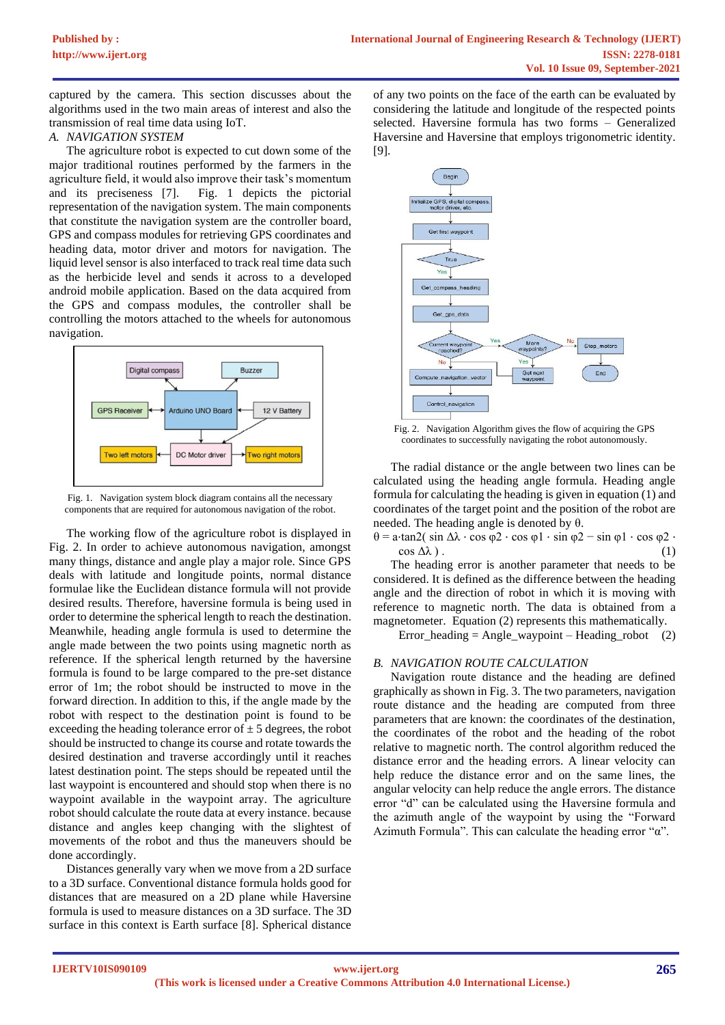captured by the camera. This section discusses about the algorithms used in the two main areas of interest and also the transmission of real time data using IoT.

#### *A. NAVIGATION SYSTEM*

The agriculture robot is expected to cut down some of the major traditional routines performed by the farmers in the agriculture field, it would also improve their task's momentum and its preciseness [7]. Fig. 1 depicts the pictorial representation of the navigation system. The main components that constitute the navigation system are the controller board, GPS and compass modules for retrieving GPS coordinates and heading data, motor driver and motors for navigation. The liquid level sensor is also interfaced to track real time data such as the herbicide level and sends it across to a developed android mobile application. Based on the data acquired from the GPS and compass modules, the controller shall be controlling the motors attached to the wheels for autonomous navigation.



Fig. 1. Navigation system block diagram contains all the necessary components that are required for autonomous navigation of the robot.

The working flow of the agriculture robot is displayed in Fig. 2. In order to achieve autonomous navigation, amongst many things, distance and angle play a major role. Since GPS deals with latitude and longitude points, normal distance formulae like the Euclidean distance formula will not provide desired results. Therefore, haversine formula is being used in order to determine the spherical length to reach the destination. Meanwhile, heading angle formula is used to determine the angle made between the two points using magnetic north as reference. If the spherical length returned by the haversine formula is found to be large compared to the pre-set distance error of 1m; the robot should be instructed to move in the forward direction. In addition to this, if the angle made by the robot with respect to the destination point is found to be exceeding the heading tolerance error of  $\pm$  5 degrees, the robot should be instructed to change its course and rotate towards the desired destination and traverse accordingly until it reaches latest destination point. The steps should be repeated until the last waypoint is encountered and should stop when there is no waypoint available in the waypoint array. The agriculture robot should calculate the route data at every instance. because distance and angles keep changing with the slightest of movements of the robot and thus the maneuvers should be done accordingly.

Distances generally vary when we move from a 2D surface to a 3D surface. Conventional distance formula holds good for distances that are measured on a 2D plane while Haversine formula is used to measure distances on a 3D surface. The 3D surface in this context is Earth surface [8]. Spherical distance

of any two points on the face of the earth can be evaluated by considering the latitude and longitude of the respected points selected. Haversine formula has two forms – Generalized Haversine and Haversine that employs trigonometric identity. [9].



Fig. 2. Navigation Algorithm gives the flow of acquiring the GPS coordinates to successfully navigating the robot autonomously.

The radial distance or the angle between two lines can be calculated using the heading angle formula. Heading angle formula for calculating the heading is given in equation (1) and coordinates of the target point and the position of the robot are needed. The heading angle is denoted by θ.

θ = a⋅tan2( sin Δλ ⋅ cos φ2 ⋅ cos φ1 ⋅ sin φ2 − sin φ1 ⋅ cos φ2 ⋅  $\cos \Delta\lambda$ ). (1)

The heading error is another parameter that needs to be considered. It is defined as the difference between the heading angle and the direction of robot in which it is moving with reference to magnetic north. The data is obtained from a magnetometer. Equation (2) represents this mathematically.

Error heading = Angle waypoint – Heading robot (2)

## *B. NAVIGATION ROUTE CALCULATION*

Navigation route distance and the heading are defined graphically as shown in Fig. 3. The two parameters, navigation route distance and the heading are computed from three parameters that are known: the coordinates of the destination, the coordinates of the robot and the heading of the robot relative to magnetic north. The control algorithm reduced the distance error and the heading errors. A linear velocity can help reduce the distance error and on the same lines, the angular velocity can help reduce the angle errors. The distance error "d" can be calculated using the Haversine formula and the azimuth angle of the waypoint by using the "Forward Azimuth Formula". This can calculate the heading error "α".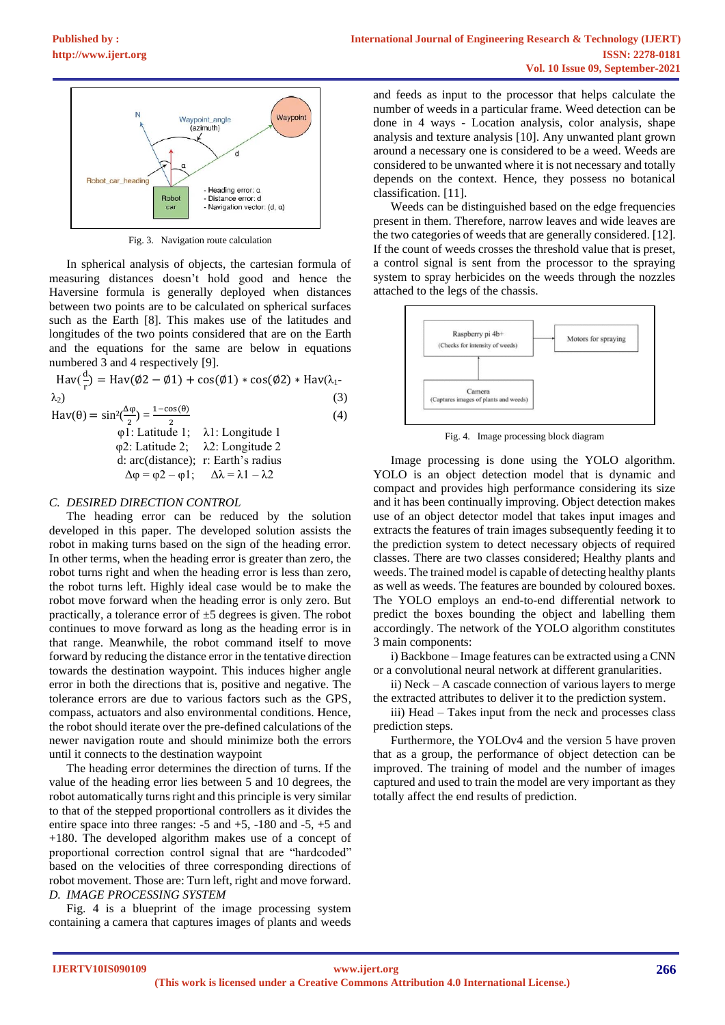

Fig. 3. Navigation route calculation

In spherical analysis of objects, the cartesian formula of measuring distances doesn't hold good and hence the Haversine formula is generally deployed when distances between two points are to be calculated on spherical surfaces such as the Earth [8]. This makes use of the latitudes and longitudes of the two points considered that are on the Earth and the equations for the same are below in equations numbered 3 and 4 respectively [9].

$$
Hav(\frac{d}{r}) = Hav(\emptyset 2 - \emptyset 1) + cos(\emptyset 1) * cos(\emptyset 2) * Hav(\lambda_1 - \lambda_2)
$$
\n(3)  
\n
$$
Hav(\theta) = sin^2(\frac{\Delta \phi}{2}) = \frac{1 - cos(\theta)}{2}
$$
\n(4)  
\n
$$
\phi
$$
1: Latitude 1; λ1: Longitude 1  
\n(3)  
\n(4)  
\n(5)  
\n(5)  
\n(6)  
\n(7)  
\n13: Longitude 1

$$
\varphi 2: Latitude 2; \quad \lambda 2: Longitude 2\nd: arc(distance); r: Earth's radius\n\Delta \varphi = \varphi 2 - \varphi 1; \quad \Delta \lambda = \lambda 1 - \lambda 2
$$

## *C. DESIRED DIRECTION CONTROL*

The heading error can be reduced by the solution developed in this paper. The developed solution assists the robot in making turns based on the sign of the heading error. In other terms, when the heading error is greater than zero, the robot turns right and when the heading error is less than zero, the robot turns left. Highly ideal case would be to make the robot move forward when the heading error is only zero. But practically, a tolerance error of  $\pm$ 5 degrees is given. The robot continues to move forward as long as the heading error is in that range. Meanwhile, the robot command itself to move forward by reducing the distance error in the tentative direction towards the destination waypoint. This induces higher angle error in both the directions that is, positive and negative. The tolerance errors are due to various factors such as the GPS, compass, actuators and also environmental conditions. Hence, the robot should iterate over the pre-defined calculations of the newer navigation route and should minimize both the errors until it connects to the destination waypoint

The heading error determines the direction of turns. If the value of the heading error lies between 5 and 10 degrees, the robot automatically turns right and this principle is very similar to that of the stepped proportional controllers as it divides the entire space into three ranges: -5 and +5, -180 and -5, +5 and +180. The developed algorithm makes use of a concept of proportional correction control signal that are "hardcoded" based on the velocities of three corresponding directions of robot movement. Those are: Turn left, right and move forward. *D. IMAGE PROCESSING SYSTEM*

Fig. 4 is a blueprint of the image processing system containing a camera that captures images of plants and weeds

and feeds as input to the processor that helps calculate the number of weeds in a particular frame. Weed detection can be done in 4 ways - Location analysis, color analysis, shape analysis and texture analysis [10]. Any unwanted plant grown around a necessary one is considered to be a weed. Weeds are considered to be unwanted where it is not necessary and totally depends on the context. Hence, they possess no botanical classification. [11].

Weeds can be distinguished based on the edge frequencies present in them. Therefore, narrow leaves and wide leaves are the two categories of weeds that are generally considered. [12]. If the count of weeds crosses the threshold value that is preset, a control signal is sent from the processor to the spraying system to spray herbicides on the weeds through the nozzles attached to the legs of the chassis.



Fig. 4. Image processing block diagram

Image processing is done using the YOLO algorithm. YOLO is an object detection model that is dynamic and compact and provides high performance considering its size and it has been continually improving. Object detection makes use of an object detector model that takes input images and extracts the features of train images subsequently feeding it to the prediction system to detect necessary objects of required classes. There are two classes considered; Healthy plants and weeds. The trained model is capable of detecting healthy plants as well as weeds. The features are bounded by coloured boxes. The YOLO employs an end-to-end differential network to predict the boxes bounding the object and labelling them accordingly. The network of the YOLO algorithm constitutes 3 main components:

i) Backbone – Image features can be extracted using a CNN or a convolutional neural network at different granularities.

ii) Neck – A cascade connection of various layers to merge the extracted attributes to deliver it to the prediction system.

iii) Head – Takes input from the neck and processes class prediction steps.

Furthermore, the YOLOv4 and the version 5 have proven that as a group, the performance of object detection can be improved. The training of model and the number of images captured and used to train the model are very important as they totally affect the end results of prediction.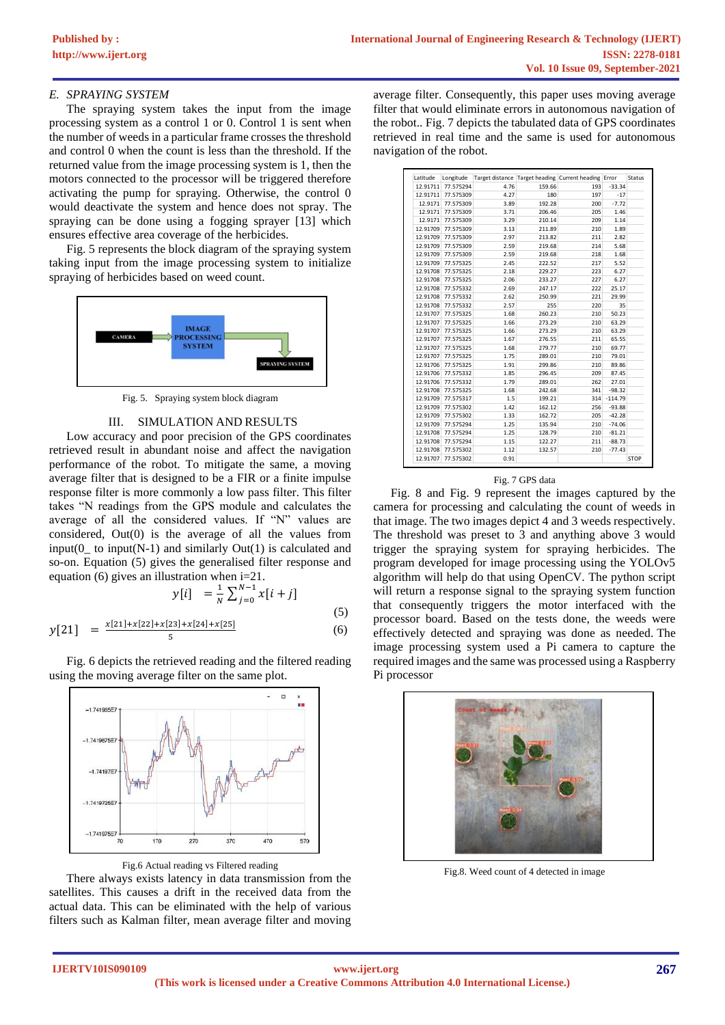#### *E. SPRAYING SYSTEM*

The spraying system takes the input from the image processing system as a control 1 or 0. Control 1 is sent when the number of weeds in a particular frame crosses the threshold and control 0 when the count is less than the threshold. If the returned value from the image processing system is 1, then the motors connected to the processor will be triggered therefore activating the pump for spraying. Otherwise, the control 0 would deactivate the system and hence does not spray. The spraying can be done using a fogging sprayer [13] which ensures effective area coverage of the herbicides.

Fig. 5 represents the block diagram of the spraying system taking input from the image processing system to initialize spraying of herbicides based on weed count.



Fig. 5. Spraying system block diagram

#### III. SIMULATION AND RESULTS

Low accuracy and poor precision of the GPS coordinates retrieved result in abundant noise and affect the navigation performance of the robot. To mitigate the same, a moving average filter that is designed to be a FIR or a finite impulse response filter is more commonly a low pass filter. This filter takes "N readings from the GPS module and calculates the average of all the considered values. If "N" values are considered, Out(0) is the average of all the values from  $input(0$  to input(N-1) and similarly Out(1) is calculated and so-on. Equation (5) gives the generalised filter response and equation (6) gives an illustration when i=21.

$$
y[i] = \frac{1}{N} \sum_{j=0}^{N-1} x[i+j]
$$
 (5)

$$
y[21] = \frac{x[21] + x[22] + x[23] + x[24] + x[25]}{5}
$$
 (6)

Fig. 6 depicts the retrieved reading and the filtered reading using the moving average filter on the same plot.



Fig.6 Actual reading vs Filtered reading

There always exists latency in data transmission from the satellites. This causes a drift in the received data from the actual data. This can be eliminated with the help of various filters such as Kalman filter, mean average filter and moving

average filter. Consequently, this paper uses moving average filter that would eliminate errors in autonomous navigation of the robot.. Fig. 7 depicts the tabulated data of GPS coordinates retrieved in real time and the same is used for autonomous navigation of the robot.

| Latitude | Longitude |      |        | Target distance Target heading Current heading Error |           | Status      |
|----------|-----------|------|--------|------------------------------------------------------|-----------|-------------|
| 12.91711 | 77.575294 | 4.76 | 159.66 | 193                                                  | $-33.34$  |             |
| 12.91711 | 77.575309 | 4.27 | 180    | 197                                                  | $-17$     |             |
| 12.9171  | 77.575309 | 3.89 | 192.28 | 200                                                  | $-7.72$   |             |
| 12.9171  | 77.575309 | 3.71 | 206.46 | 205                                                  | 1.46      |             |
| 12.9171  | 77.575309 | 3.29 | 210.14 | 209                                                  | 1.14      |             |
| 12.91709 | 77.575309 | 3.13 | 211.89 | 210                                                  | 1.89      |             |
| 12.91709 | 77.575309 | 2.97 | 213.82 | 211                                                  | 2.82      |             |
| 12.91709 | 77.575309 | 2.59 | 219.68 | 214                                                  | 5.68      |             |
| 12.91709 | 77.575309 | 2.59 | 219.68 | 218                                                  | 1.68      |             |
| 12.91709 | 77.575325 | 2.45 | 222.52 | 217                                                  | 5.52      |             |
| 12.91708 | 77.575325 | 2.18 | 229.27 | 223                                                  | 6.27      |             |
| 12.91708 | 77.575325 | 2.06 | 233.27 | 227                                                  | 6.27      |             |
| 12.91708 | 77.575332 | 2.69 | 247.17 | 222                                                  | 25.17     |             |
| 12.91708 | 77.575332 | 2.62 | 250.99 | 221                                                  | 29.99     |             |
| 12.91708 | 77.575332 | 2.57 | 255    | 220                                                  | 35        |             |
| 12.91707 | 77.575325 | 1.68 | 260.23 | 210                                                  | 50.23     |             |
| 12.91707 | 77.575325 | 1.66 | 273.29 | 210                                                  | 63.29     |             |
| 12.91707 | 77.575325 | 1.66 | 273.29 | 210                                                  | 63.29     |             |
| 12.91707 | 77.575325 | 1.67 | 276.55 | 211                                                  | 65.55     |             |
| 12.91707 | 77.575325 | 1.68 | 279.77 | 210                                                  | 69.77     |             |
| 12.91707 | 77.575325 | 1.75 | 289.01 | 210                                                  | 79.01     |             |
| 12.91706 | 77.575325 | 1.91 | 299.86 | 210                                                  | 89.86     |             |
| 12.91706 | 77.575332 | 1.85 | 296.45 | 209                                                  | 87.45     |             |
| 12.91706 | 77.575332 | 1.79 | 289.01 | 262                                                  | 27.01     |             |
| 12.91708 | 77.575325 | 1.68 | 242.68 | 341                                                  | $-98.32$  |             |
| 12.91709 | 77.575317 | 1.5  | 199.21 | 314                                                  | $-114.79$ |             |
| 12.91709 | 77.575302 | 1.42 | 162.12 | 256                                                  | $-93.88$  |             |
| 12.91709 | 77.575302 | 1.33 | 162.72 | 205                                                  | $-42.28$  |             |
| 12.91709 | 77.575294 | 1.25 | 135.94 | 210                                                  | $-74.06$  |             |
| 12.91708 | 77.575294 | 1.25 | 128.79 | 210                                                  | $-81.21$  |             |
| 12.91708 | 77.575294 | 1.15 | 122.27 | 211                                                  | $-88.73$  |             |
| 12.91708 | 77.575302 | 1.12 | 132.57 | 210                                                  | $-77.43$  |             |
| 12.91707 | 77.575302 | 0.91 |        |                                                      |           | <b>STOP</b> |

#### Fig. 7 GPS data

Fig. 8 and Fig. 9 represent the images captured by the camera for processing and calculating the count of weeds in that image. The two images depict 4 and 3 weeds respectively. The threshold was preset to 3 and anything above 3 would trigger the spraying system for spraying herbicides. The program developed for image processing using the YOLOv5 algorithm will help do that using OpenCV. The python script will return a response signal to the spraying system function that consequently triggers the motor interfaced with the processor board. Based on the tests done, the weeds were effectively detected and spraying was done as needed. The image processing system used a Pi camera to capture the required images and the same was processed using a Raspberry Pi processor



Fig.8. Weed count of 4 detected in image